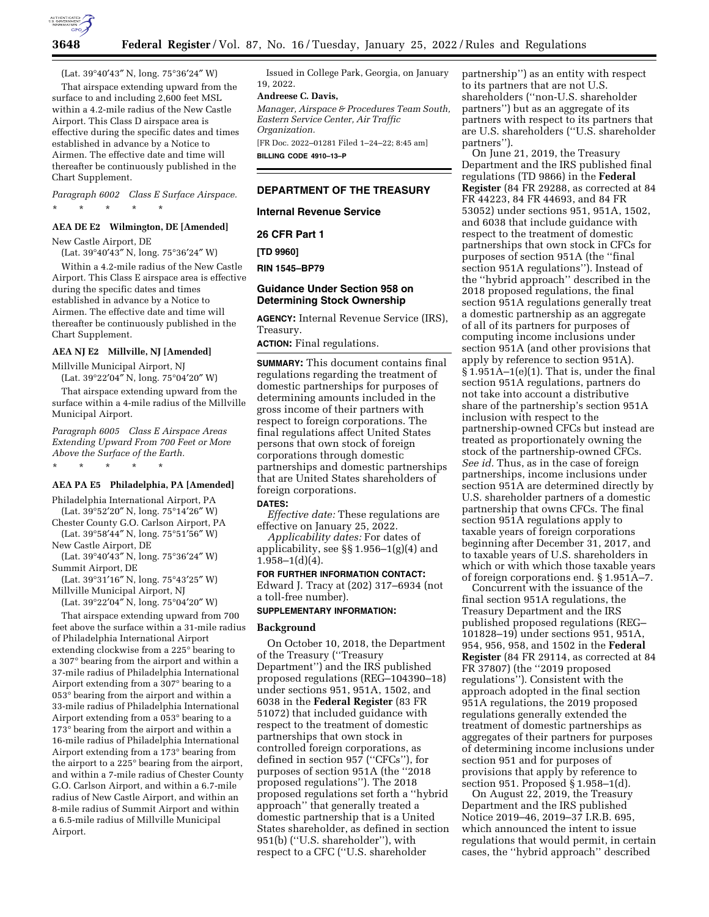

(Lat. 39°40′43″ N, long. 75°36′24″ W)

That airspace extending upward from the surface to and including 2,600 feet MSL within a 4.2-mile radius of the New Castle Airport. This Class D airspace area is effective during the specific dates and times established in advance by a Notice to Airmen. The effective date and time will thereafter be continuously published in the Chart Supplement.

*Paragraph 6002 Class E Surface Airspace.*  \* \* \* \* \*

## **AEA DE E2 Wilmington, DE [Amended]**

New Castle Airport, DE (Lat. 39°40′43″ N, long. 75°36′24″ W)

Within a 4.2-mile radius of the New Castle Airport. This Class E airspace area is effective during the specific dates and times established in advance by a Notice to Airmen. The effective date and time will thereafter be continuously published in the Chart Supplement.

## **AEA NJ E2 Millville, NJ [Amended]**

Millville Municipal Airport, NJ

(Lat. 39°22′04″ N, long. 75°04′20″ W)

That airspace extending upward from the surface within a 4-mile radius of the Millville Municipal Airport.

*Paragraph 6005 Class E Airspace Areas Extending Upward From 700 Feet or More Above the Surface of the Earth.* 

\* \* \* \* \*

#### **AEA PA E5 Philadelphia, PA [Amended]**

Philadelphia International Airport, PA (Lat. 39°52′20″ N, long. 75°14′26″ W)

Chester County G.O. Carlson Airport, PA (Lat. 39°58′44″ N, long. 75°51′56″ W)

New Castle Airport, DE

(Lat. 39°40′43″ N, long. 75°36′24″ W) Summit Airport, DE

(Lat. 39°31′16″ N, long. 75°43′25″ W) Millville Municipal Airport, NJ

(Lat. 39°22′04″ N, long. 75°04′20″ W)

That airspace extending upward from 700 feet above the surface within a 31-mile radius of Philadelphia International Airport extending clockwise from a 225° bearing to a 307° bearing from the airport and within a 37-mile radius of Philadelphia International Airport extending from a 307° bearing to a 053° bearing from the airport and within a 33-mile radius of Philadelphia International Airport extending from a 053° bearing to a 173° bearing from the airport and within a 16-mile radius of Philadelphia International Airport extending from a 173° bearing from the airport to a 225° bearing from the airport, and within a 7-mile radius of Chester County G.O. Carlson Airport, and within a 6.7-mile radius of New Castle Airport, and within an 8-mile radius of Summit Airport and within a 6.5-mile radius of Millville Municipal Airport.

Issued in College Park, Georgia, on January 19, 2022.

#### **Andreese C. Davis,**

*Manager, Airspace & Procedures Team South, Eastern Service Center, Air Traffic Organization.* 

[FR Doc. 2022–01281 Filed 1–24–22; 8:45 am] **BILLING CODE 4910–13–P** 

#### **DEPARTMENT OF THE TREASURY**

#### **Internal Revenue Service**

**26 CFR Part 1** 

**[TD 9960]** 

**RIN 1545–BP79** 

## **Guidance Under Section 958 on Determining Stock Ownership**

**AGENCY:** Internal Revenue Service (IRS), Treasury.

**ACTION:** Final regulations.

**SUMMARY:** This document contains final regulations regarding the treatment of domestic partnerships for purposes of determining amounts included in the gross income of their partners with respect to foreign corporations. The final regulations affect United States persons that own stock of foreign corporations through domestic partnerships and domestic partnerships that are United States shareholders of foreign corporations.

#### **DATES:**

*Effective date:* These regulations are effective on January 25, 2022.

*Applicability dates:* For dates of applicability, see §§ 1.956–1(g)(4) and 1.958–1(d)(4).

**FOR FURTHER INFORMATION CONTACT:**  Edward J. Tracy at (202) 317–6934 (not a toll-free number).

## **SUPPLEMENTARY INFORMATION:**

# **Background**

On October 10, 2018, the Department of the Treasury (''Treasury Department'') and the IRS published proposed regulations (REG–104390–18) under sections 951, 951A, 1502, and 6038 in the **Federal Register** (83 FR 51072) that included guidance with respect to the treatment of domestic partnerships that own stock in controlled foreign corporations, as defined in section 957 (''CFCs''), for purposes of section 951A (the ''2018 proposed regulations''). The 2018 proposed regulations set forth a ''hybrid approach'' that generally treated a domestic partnership that is a United States shareholder, as defined in section 951(b) (''U.S. shareholder''), with respect to a CFC (''U.S. shareholder

partnership'') as an entity with respect to its partners that are not U.S. shareholders (''non-U.S. shareholder partners'') but as an aggregate of its partners with respect to its partners that are U.S. shareholders (''U.S. shareholder partners'').

On June 21, 2019, the Treasury Department and the IRS published final regulations (TD 9866) in the **Federal Register** (84 FR 29288, as corrected at 84 FR 44223, 84 FR 44693, and 84 FR 53052) under sections 951, 951A, 1502, and 6038 that include guidance with respect to the treatment of domestic partnerships that own stock in CFCs for purposes of section 951A (the ''final section 951A regulations''). Instead of the ''hybrid approach'' described in the 2018 proposed regulations, the final section 951A regulations generally treat a domestic partnership as an aggregate of all of its partners for purposes of computing income inclusions under section 951A (and other provisions that apply by reference to section 951A). § 1.951A–1(e)(1). That is, under the final section 951A regulations, partners do not take into account a distributive share of the partnership's section 951A inclusion with respect to the partnership-owned CFCs but instead are treated as proportionately owning the stock of the partnership-owned CFCs. *See id.* Thus, as in the case of foreign partnerships, income inclusions under section 951A are determined directly by U.S. shareholder partners of a domestic partnership that owns CFCs. The final section 951A regulations apply to taxable years of foreign corporations beginning after December 31, 2017, and to taxable years of U.S. shareholders in which or with which those taxable years of foreign corporations end. § 1.951A–7.

Concurrent with the issuance of the final section 951A regulations, the Treasury Department and the IRS published proposed regulations (REG– 101828–19) under sections 951, 951A, 954, 956, 958, and 1502 in the **Federal Register** (84 FR 29114, as corrected at 84 FR 37807) (the ''2019 proposed regulations''). Consistent with the approach adopted in the final section 951A regulations, the 2019 proposed regulations generally extended the treatment of domestic partnerships as aggregates of their partners for purposes of determining income inclusions under section 951 and for purposes of provisions that apply by reference to section 951. Proposed § 1.958–1(d).

On August 22, 2019, the Treasury Department and the IRS published Notice 2019–46, 2019–37 I.R.B. 695, which announced the intent to issue regulations that would permit, in certain cases, the ''hybrid approach'' described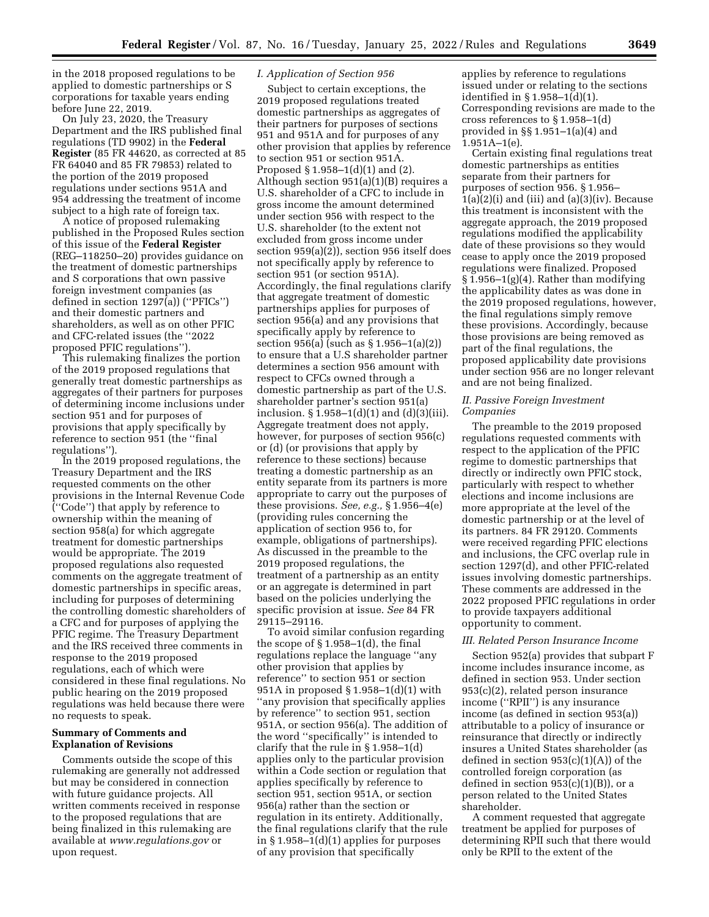in the 2018 proposed regulations to be applied to domestic partnerships or S corporations for taxable years ending before June 22, 2019.

On July 23, 2020, the Treasury Department and the IRS published final regulations (TD 9902) in the **Federal Register** (85 FR 44620, as corrected at 85 FR 64040 and 85 FR 79853) related to the portion of the 2019 proposed regulations under sections 951A and 954 addressing the treatment of income subject to a high rate of foreign tax.

A notice of proposed rulemaking published in the Proposed Rules section of this issue of the **Federal Register**  (REG–118250–20) provides guidance on the treatment of domestic partnerships and S corporations that own passive foreign investment companies (as defined in section 1297(a)) (''PFICs'') and their domestic partners and shareholders, as well as on other PFIC and CFC-related issues (the ''2022 proposed PFIC regulations'').

This rulemaking finalizes the portion of the 2019 proposed regulations that generally treat domestic partnerships as aggregates of their partners for purposes of determining income inclusions under section 951 and for purposes of provisions that apply specifically by reference to section 951 (the ''final regulations'').

In the 2019 proposed regulations, the Treasury Department and the IRS requested comments on the other provisions in the Internal Revenue Code (''Code'') that apply by reference to ownership within the meaning of section 958(a) for which aggregate treatment for domestic partnerships would be appropriate. The 2019 proposed regulations also requested comments on the aggregate treatment of domestic partnerships in specific areas, including for purposes of determining the controlling domestic shareholders of a CFC and for purposes of applying the PFIC regime. The Treasury Department and the IRS received three comments in response to the 2019 proposed regulations, each of which were considered in these final regulations. No public hearing on the 2019 proposed regulations was held because there were no requests to speak.

#### **Summary of Comments and Explanation of Revisions**

Comments outside the scope of this rulemaking are generally not addressed but may be considered in connection with future guidance projects. All written comments received in response to the proposed regulations that are being finalized in this rulemaking are available at *[www.regulations.gov](http://www.regulations.gov)* or upon request.

# *I. Application of Section 956*

Subject to certain exceptions, the 2019 proposed regulations treated domestic partnerships as aggregates of their partners for purposes of sections 951 and 951A and for purposes of any other provision that applies by reference to section 951 or section 951A. Proposed § 1.958–1(d)(1) and (2). Although section 951(a)(1)(B) requires a U.S. shareholder of a CFC to include in gross income the amount determined under section 956 with respect to the U.S. shareholder (to the extent not excluded from gross income under section 959(a)(2)), section 956 itself does not specifically apply by reference to section 951 (or section 951A). Accordingly, the final regulations clarify that aggregate treatment of domestic partnerships applies for purposes of section 956(a) and any provisions that specifically apply by reference to section 956(a) (such as § 1.956–1(a)(2)) to ensure that a U.S shareholder partner determines a section 956 amount with respect to CFCs owned through a domestic partnership as part of the U.S. shareholder partner's section 951(a) inclusion.  $\S$  1.958–1(d)(1) and (d)(3)(iii). Aggregate treatment does not apply, however, for purposes of section 956(c) or (d) (or provisions that apply by reference to these sections) because treating a domestic partnership as an entity separate from its partners is more appropriate to carry out the purposes of these provisions. *See, e.g.,* § 1.956–4(e) (providing rules concerning the application of section 956 to, for example, obligations of partnerships). As discussed in the preamble to the 2019 proposed regulations, the treatment of a partnership as an entity or an aggregate is determined in part based on the policies underlying the specific provision at issue. *See* 84 FR 29115–29116.

To avoid similar confusion regarding the scope of § 1.958–1(d), the final regulations replace the language ''any other provision that applies by reference'' to section 951 or section 951A in proposed § 1.958–1(d)(1) with ''any provision that specifically applies by reference'' to section 951, section 951A, or section 956(a). The addition of the word ''specifically'' is intended to clarify that the rule in § 1.958–1(d) applies only to the particular provision within a Code section or regulation that applies specifically by reference to section 951, section 951A, or section 956(a) rather than the section or regulation in its entirety. Additionally, the final regulations clarify that the rule in  $§ 1.958-1(d)(1)$  applies for purposes of any provision that specifically

applies by reference to regulations issued under or relating to the sections identified in § 1.958–1(d)(1). Corresponding revisions are made to the cross references to § 1.958–1(d) provided in §§ 1.951–1(a)(4) and 1.951A–1(e).

Certain existing final regulations treat domestic partnerships as entities separate from their partners for purposes of section 956. § 1.956–  $1(a)(2)(i)$  and (iii) and  $(a)(3)(iv)$ . Because this treatment is inconsistent with the aggregate approach, the 2019 proposed regulations modified the applicability date of these provisions so they would cease to apply once the 2019 proposed regulations were finalized. Proposed § 1.956–1(g)(4). Rather than modifying the applicability dates as was done in the 2019 proposed regulations, however, the final regulations simply remove these provisions. Accordingly, because those provisions are being removed as part of the final regulations, the proposed applicability date provisions under section 956 are no longer relevant and are not being finalized.

#### *II. Passive Foreign Investment Companies*

The preamble to the 2019 proposed regulations requested comments with respect to the application of the PFIC regime to domestic partnerships that directly or indirectly own PFIC stock, particularly with respect to whether elections and income inclusions are more appropriate at the level of the domestic partnership or at the level of its partners. 84 FR 29120. Comments were received regarding PFIC elections and inclusions, the CFC overlap rule in section 1297(d), and other PFIC-related issues involving domestic partnerships. These comments are addressed in the 2022 proposed PFIC regulations in order to provide taxpayers additional opportunity to comment.

#### *III. Related Person Insurance Income*

Section 952(a) provides that subpart F income includes insurance income, as defined in section 953. Under section 953(c)(2), related person insurance income (''RPII'') is any insurance income (as defined in section 953(a)) attributable to a policy of insurance or reinsurance that directly or indirectly insures a United States shareholder (as defined in section 953(c)(1)(A)) of the controlled foreign corporation (as defined in section  $953(c)(1)(B)$ , or a person related to the United States shareholder.

A comment requested that aggregate treatment be applied for purposes of determining RPII such that there would only be RPII to the extent of the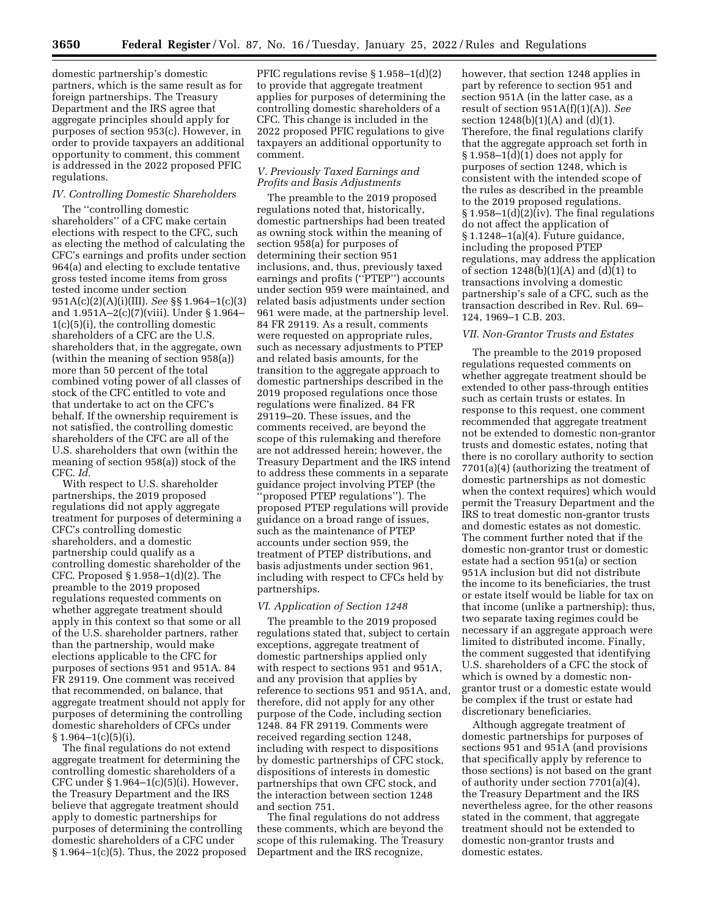domestic partnership's domestic partners, which is the same result as for foreign partnerships. The Treasury Department and the IRS agree that aggregate principles should apply for purposes of section 953(c). However, in order to provide taxpayers an additional opportunity to comment, this comment is addressed in the 2022 proposed PFIC regulations.

# *IV. Controlling Domestic Shareholders*

The ''controlling domestic shareholders'' of a CFC make certain elections with respect to the CFC, such as electing the method of calculating the CFC's earnings and profits under section 964(a) and electing to exclude tentative gross tested income items from gross tested income under section 951A(c)(2)(A)(i)(III). *See* §§ 1.964–1(c)(3) and 1.951A–2(c)(7)(viii). Under § 1.964– 1(c)(5)(i), the controlling domestic shareholders of a CFC are the U.S. shareholders that, in the aggregate, own (within the meaning of section 958(a)) more than 50 percent of the total combined voting power of all classes of stock of the CFC entitled to vote and that undertake to act on the CFC's behalf. If the ownership requirement is not satisfied, the controlling domestic shareholders of the CFC are all of the U.S. shareholders that own (within the meaning of section 958(a)) stock of the CFC. *Id.* 

With respect to U.S. shareholder partnerships, the 2019 proposed regulations did not apply aggregate treatment for purposes of determining a CFC's controlling domestic shareholders, and a domestic partnership could qualify as a controlling domestic shareholder of the CFC. Proposed § 1.958–1(d)(2). The preamble to the 2019 proposed regulations requested comments on whether aggregate treatment should apply in this context so that some or all of the U.S. shareholder partners, rather than the partnership, would make elections applicable to the CFC for purposes of sections 951 and 951A. 84 FR 29119. One comment was received that recommended, on balance, that aggregate treatment should not apply for purposes of determining the controlling domestic shareholders of CFCs under § 1.964–1(c)(5)(i).

The final regulations do not extend aggregate treatment for determining the controlling domestic shareholders of a CFC under § 1.964–1(c)(5)(i). However, the Treasury Department and the IRS believe that aggregate treatment should apply to domestic partnerships for purposes of determining the controlling domestic shareholders of a CFC under § 1.964–1(c)(5). Thus, the 2022 proposed

PFIC regulations revise § 1.958–1(d)(2) to provide that aggregate treatment applies for purposes of determining the controlling domestic shareholders of a CFC. This change is included in the 2022 proposed PFIC regulations to give taxpayers an additional opportunity to comment.

# *V. Previously Taxed Earnings and Profits and Basis Adjustments*

The preamble to the 2019 proposed regulations noted that, historically, domestic partnerships had been treated as owning stock within the meaning of section 958(a) for purposes of determining their section 951 inclusions, and, thus, previously taxed earnings and profits (''PTEP'') accounts under section 959 were maintained, and related basis adjustments under section 961 were made, at the partnership level. 84 FR 29119. As a result, comments were requested on appropriate rules, such as necessary adjustments to PTEP and related basis amounts, for the transition to the aggregate approach to domestic partnerships described in the 2019 proposed regulations once those regulations were finalized. 84 FR 29119–20. These issues, and the comments received, are beyond the scope of this rulemaking and therefore are not addressed herein; however, the Treasury Department and the IRS intend to address these comments in a separate guidance project involving PTEP (the 'proposed PTEP regulations''). The proposed PTEP regulations will provide guidance on a broad range of issues, such as the maintenance of PTEP accounts under section 959, the treatment of PTEP distributions, and basis adjustments under section 961, including with respect to CFCs held by partnerships.

#### *VI. Application of Section 1248*

The preamble to the 2019 proposed regulations stated that, subject to certain exceptions, aggregate treatment of domestic partnerships applied only with respect to sections 951 and 951A, and any provision that applies by reference to sections 951 and 951A, and, therefore, did not apply for any other purpose of the Code, including section 1248. 84 FR 29119. Comments were received regarding section 1248, including with respect to dispositions by domestic partnerships of CFC stock, dispositions of interests in domestic partnerships that own CFC stock, and the interaction between section 1248 and section 751.

The final regulations do not address these comments, which are beyond the scope of this rulemaking. The Treasury Department and the IRS recognize,

however, that section 1248 applies in part by reference to section 951 and section 951A (in the latter case, as a result of section 951A(f)(1)(A)). *See*  section 1248(b)(1)(A) and (d)(1). Therefore, the final regulations clarify that the aggregate approach set forth in  $§ 1.958-1(d)(1)$  does not apply for purposes of section 1248, which is consistent with the intended scope of the rules as described in the preamble to the 2019 proposed regulations.  $§ 1.958-1(d)(2)(iv)$ . The final regulations do not affect the application of § 1.1248–1(a)(4). Future guidance, including the proposed PTEP regulations, may address the application of section  $1248(b)(1)(A)$  and  $(d)(1)$  to transactions involving a domestic partnership's sale of a CFC, such as the transaction described in Rev. Rul. 69– 124, 1969–1 C.B. 203.

#### *VII. Non-Grantor Trusts and Estates*

The preamble to the 2019 proposed regulations requested comments on whether aggregate treatment should be extended to other pass-through entities such as certain trusts or estates. In response to this request, one comment recommended that aggregate treatment not be extended to domestic non-grantor trusts and domestic estates, noting that there is no corollary authority to section 7701(a)(4) (authorizing the treatment of domestic partnerships as not domestic when the context requires) which would permit the Treasury Department and the IRS to treat domestic non-grantor trusts and domestic estates as not domestic. The comment further noted that if the domestic non-grantor trust or domestic estate had a section 951(a) or section 951A inclusion but did not distribute the income to its beneficiaries, the trust or estate itself would be liable for tax on that income (unlike a partnership); thus, two separate taxing regimes could be necessary if an aggregate approach were limited to distributed income. Finally, the comment suggested that identifying U.S. shareholders of a CFC the stock of which is owned by a domestic nongrantor trust or a domestic estate would be complex if the trust or estate had discretionary beneficiaries.

Although aggregate treatment of domestic partnerships for purposes of sections 951 and 951A (and provisions that specifically apply by reference to those sections) is not based on the grant of authority under section 7701(a)(4), the Treasury Department and the IRS nevertheless agree, for the other reasons stated in the comment, that aggregate treatment should not be extended to domestic non-grantor trusts and domestic estates.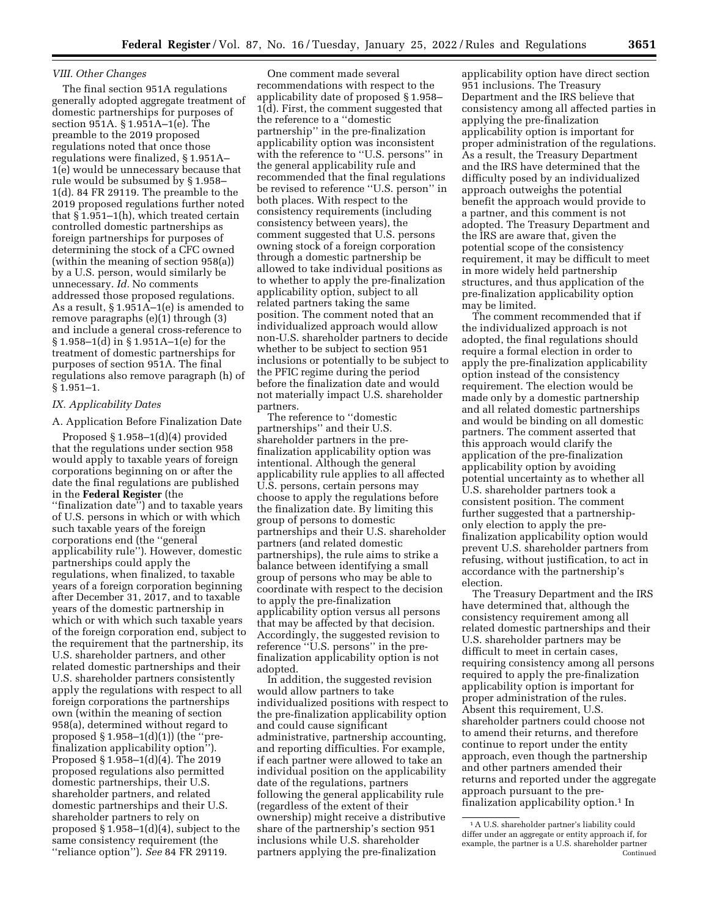#### *VIII. Other Changes*

The final section 951A regulations generally adopted aggregate treatment of domestic partnerships for purposes of section 951A. § 1.951A–1(e). The preamble to the 2019 proposed regulations noted that once those regulations were finalized, § 1.951A– 1(e) would be unnecessary because that rule would be subsumed by § 1.958– 1(d). 84 FR 29119. The preamble to the 2019 proposed regulations further noted that § 1.951–1(h), which treated certain controlled domestic partnerships as foreign partnerships for purposes of determining the stock of a CFC owned (within the meaning of section 958(a)) by a U.S. person, would similarly be unnecessary. *Id.* No comments addressed those proposed regulations. As a result, § 1.951A–1(e) is amended to remove paragraphs (e)(1) through (3) and include a general cross-reference to § 1.958–1(d) in § 1.951A–1(e) for the treatment of domestic partnerships for purposes of section 951A. The final regulations also remove paragraph (h) of § 1.951–1.

#### *IX. Applicability Dates*

A. Application Before Finalization Date

Proposed § 1.958–1(d)(4) provided that the regulations under section 958 would apply to taxable years of foreign corporations beginning on or after the date the final regulations are published in the **Federal Register** (the

''finalization date'') and to taxable years of U.S. persons in which or with which such taxable years of the foreign corporations end (the ''general applicability rule''). However, domestic partnerships could apply the regulations, when finalized, to taxable years of a foreign corporation beginning after December 31, 2017, and to taxable years of the domestic partnership in which or with which such taxable years of the foreign corporation end, subject to the requirement that the partnership, its U.S. shareholder partners, and other related domestic partnerships and their U.S. shareholder partners consistently apply the regulations with respect to all foreign corporations the partnerships own (within the meaning of section 958(a), determined without regard to proposed  $\S 1.958-1(d)(1)$  (the "prefinalization applicability option''). Proposed § 1.958–1(d)(4). The 2019 proposed regulations also permitted domestic partnerships, their U.S. shareholder partners, and related domestic partnerships and their U.S. shareholder partners to rely on proposed § 1.958–1(d)(4), subject to the same consistency requirement (the ''reliance option''). *See* 84 FR 29119.

One comment made several recommendations with respect to the applicability date of proposed § 1.958– 1(d). First, the comment suggested that the reference to a ''domestic partnership'' in the pre-finalization applicability option was inconsistent with the reference to "U.S. persons" in the general applicability rule and recommended that the final regulations be revised to reference ''U.S. person'' in both places. With respect to the consistency requirements (including consistency between years), the comment suggested that U.S. persons owning stock of a foreign corporation through a domestic partnership be allowed to take individual positions as to whether to apply the pre-finalization applicability option, subject to all related partners taking the same position. The comment noted that an individualized approach would allow non-U.S. shareholder partners to decide whether to be subject to section 951 inclusions or potentially to be subject to the PFIC regime during the period before the finalization date and would not materially impact U.S. shareholder partners.

The reference to ''domestic partnerships'' and their U.S. shareholder partners in the prefinalization applicability option was intentional. Although the general applicability rule applies to all affected U.S. persons, certain persons may choose to apply the regulations before the finalization date. By limiting this group of persons to domestic partnerships and their U.S. shareholder partners (and related domestic partnerships), the rule aims to strike a balance between identifying a small group of persons who may be able to coordinate with respect to the decision to apply the pre-finalization applicability option versus all persons that may be affected by that decision. Accordingly, the suggested revision to reference ''U.S. persons'' in the prefinalization applicability option is not adopted.

In addition, the suggested revision would allow partners to take individualized positions with respect to the pre-finalization applicability option and could cause significant administrative, partnership accounting, and reporting difficulties. For example, if each partner were allowed to take an individual position on the applicability date of the regulations, partners following the general applicability rule (regardless of the extent of their ownership) might receive a distributive share of the partnership's section 951 inclusions while U.S. shareholder partners applying the pre-finalization

applicability option have direct section 951 inclusions. The Treasury Department and the IRS believe that consistency among all affected parties in applying the pre-finalization applicability option is important for proper administration of the regulations. As a result, the Treasury Department and the IRS have determined that the difficulty posed by an individualized approach outweighs the potential benefit the approach would provide to a partner, and this comment is not adopted. The Treasury Department and the IRS are aware that, given the potential scope of the consistency requirement, it may be difficult to meet in more widely held partnership structures, and thus application of the pre-finalization applicability option may be limited.

The comment recommended that if the individualized approach is not adopted, the final regulations should require a formal election in order to apply the pre-finalization applicability option instead of the consistency requirement. The election would be made only by a domestic partnership and all related domestic partnerships and would be binding on all domestic partners. The comment asserted that this approach would clarify the application of the pre-finalization applicability option by avoiding potential uncertainty as to whether all U.S. shareholder partners took a consistent position. The comment further suggested that a partnershiponly election to apply the prefinalization applicability option would prevent U.S. shareholder partners from refusing, without justification, to act in accordance with the partnership's election.

The Treasury Department and the IRS have determined that, although the consistency requirement among all related domestic partnerships and their U.S. shareholder partners may be difficult to meet in certain cases, requiring consistency among all persons required to apply the pre-finalization applicability option is important for proper administration of the rules. Absent this requirement, U.S. shareholder partners could choose not to amend their returns, and therefore continue to report under the entity approach, even though the partnership and other partners amended their returns and reported under the aggregate approach pursuant to the prefinalization applicability option.<sup>1</sup> In

<sup>1</sup>A U.S. shareholder partner's liability could differ under an aggregate or entity approach if, for example, the partner is a U.S. shareholder partner Continued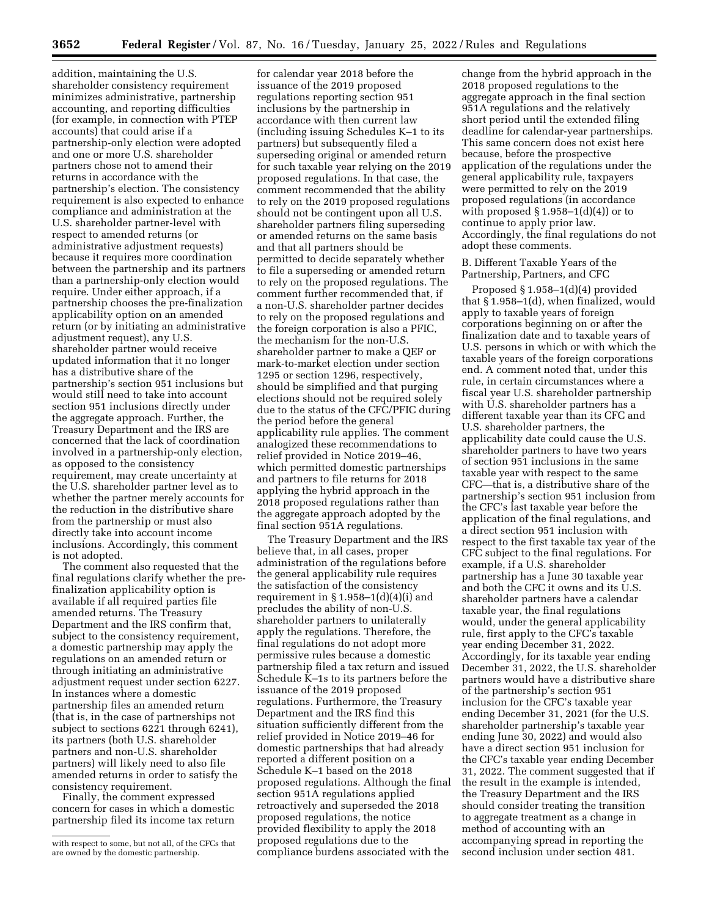addition, maintaining the U.S. shareholder consistency requirement minimizes administrative, partnership accounting, and reporting difficulties (for example, in connection with PTEP accounts) that could arise if a partnership-only election were adopted and one or more U.S. shareholder partners chose not to amend their returns in accordance with the partnership's election. The consistency requirement is also expected to enhance compliance and administration at the U.S. shareholder partner-level with respect to amended returns (or administrative adjustment requests) because it requires more coordination between the partnership and its partners than a partnership-only election would require. Under either approach, if a partnership chooses the pre-finalization applicability option on an amended return (or by initiating an administrative adjustment request), any U.S. shareholder partner would receive updated information that it no longer has a distributive share of the partnership's section 951 inclusions but would still need to take into account section 951 inclusions directly under the aggregate approach. Further, the Treasury Department and the IRS are concerned that the lack of coordination involved in a partnership-only election, as opposed to the consistency requirement, may create uncertainty at the U.S. shareholder partner level as to whether the partner merely accounts for the reduction in the distributive share from the partnership or must also directly take into account income inclusions. Accordingly, this comment is not adopted.

The comment also requested that the final regulations clarify whether the prefinalization applicability option is available if all required parties file amended returns. The Treasury Department and the IRS confirm that, subject to the consistency requirement, a domestic partnership may apply the regulations on an amended return or through initiating an administrative adjustment request under section 6227. In instances where a domestic partnership files an amended return (that is, in the case of partnerships not subject to sections 6221 through 6241), its partners (both U.S. shareholder partners and non-U.S. shareholder partners) will likely need to also file amended returns in order to satisfy the consistency requirement.

Finally, the comment expressed concern for cases in which a domestic partnership filed its income tax return

for calendar year 2018 before the issuance of the 2019 proposed regulations reporting section 951 inclusions by the partnership in accordance with then current law (including issuing Schedules K–1 to its partners) but subsequently filed a superseding original or amended return for such taxable year relying on the 2019 proposed regulations. In that case, the comment recommended that the ability to rely on the 2019 proposed regulations should not be contingent upon all U.S. shareholder partners filing superseding or amended returns on the same basis and that all partners should be permitted to decide separately whether to file a superseding or amended return to rely on the proposed regulations. The comment further recommended that, if a non-U.S. shareholder partner decides to rely on the proposed regulations and the foreign corporation is also a PFIC, the mechanism for the non-U.S. shareholder partner to make a QEF or mark-to-market election under section 1295 or section 1296, respectively, should be simplified and that purging elections should not be required solely due to the status of the CFC/PFIC during the period before the general applicability rule applies. The comment analogized these recommendations to relief provided in Notice 2019–46, which permitted domestic partnerships and partners to file returns for 2018 applying the hybrid approach in the 2018 proposed regulations rather than the aggregate approach adopted by the final section 951A regulations.

The Treasury Department and the IRS believe that, in all cases, proper administration of the regulations before the general applicability rule requires the satisfaction of the consistency requirement in  $\S 1.958-1(d)(4)(i)$  and precludes the ability of non-U.S. shareholder partners to unilaterally apply the regulations. Therefore, the final regulations do not adopt more permissive rules because a domestic partnership filed a tax return and issued Schedule K–1s to its partners before the issuance of the 2019 proposed regulations. Furthermore, the Treasury Department and the IRS find this situation sufficiently different from the relief provided in Notice 2019–46 for domestic partnerships that had already reported a different position on a Schedule K–1 based on the 2018 proposed regulations. Although the final section 951A regulations applied retroactively and superseded the 2018 proposed regulations, the notice provided flexibility to apply the 2018 proposed regulations due to the compliance burdens associated with the

change from the hybrid approach in the 2018 proposed regulations to the aggregate approach in the final section 951A regulations and the relatively short period until the extended filing deadline for calendar-year partnerships. This same concern does not exist here because, before the prospective application of the regulations under the general applicability rule, taxpayers were permitted to rely on the 2019 proposed regulations (in accordance with proposed  $\S 1.958-1(d)(4)$  or to continue to apply prior law. Accordingly, the final regulations do not adopt these comments.

B. Different Taxable Years of the Partnership, Partners, and CFC

Proposed § 1.958–1(d)(4) provided that § 1.958–1(d), when finalized, would apply to taxable years of foreign corporations beginning on or after the finalization date and to taxable years of U.S. persons in which or with which the taxable years of the foreign corporations end. A comment noted that, under this rule, in certain circumstances where a fiscal year U.S. shareholder partnership with U.S. shareholder partners has a different taxable year than its CFC and U.S. shareholder partners, the applicability date could cause the U.S. shareholder partners to have two years of section 951 inclusions in the same taxable year with respect to the same CFC—that is, a distributive share of the partnership's section 951 inclusion from the CFC's last taxable year before the application of the final regulations, and a direct section 951 inclusion with respect to the first taxable tax year of the CFC subject to the final regulations. For example, if a U.S. shareholder partnership has a June 30 taxable year and both the CFC it owns and its U.S. shareholder partners have a calendar taxable year, the final regulations would, under the general applicability rule, first apply to the CFC's taxable year ending December 31, 2022. Accordingly, for its taxable year ending December 31, 2022, the U.S. shareholder partners would have a distributive share of the partnership's section 951 inclusion for the CFC's taxable year ending December 31, 2021 (for the U.S. shareholder partnership's taxable year ending June 30, 2022) and would also have a direct section 951 inclusion for the CFC's taxable year ending December 31, 2022. The comment suggested that if the result in the example is intended, the Treasury Department and the IRS should consider treating the transition to aggregate treatment as a change in method of accounting with an accompanying spread in reporting the second inclusion under section 481.

with respect to some, but not all, of the CFCs that are owned by the domestic partnership.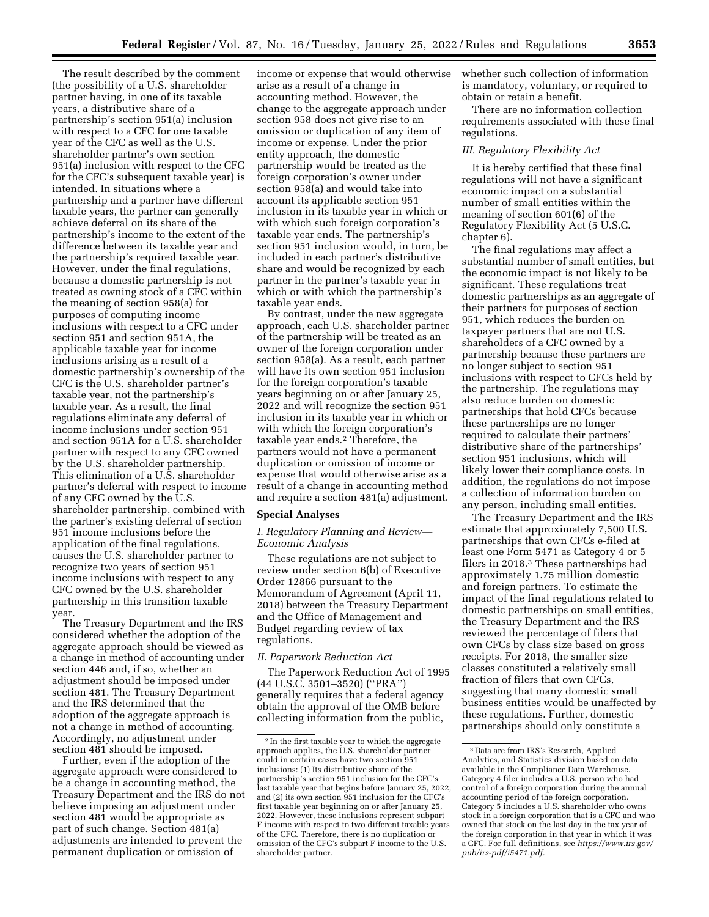The result described by the comment (the possibility of a U.S. shareholder partner having, in one of its taxable years, a distributive share of a partnership's section 951(a) inclusion with respect to a CFC for one taxable year of the CFC as well as the U.S. shareholder partner's own section 951(a) inclusion with respect to the CFC for the CFC's subsequent taxable year) is intended. In situations where a partnership and a partner have different taxable years, the partner can generally achieve deferral on its share of the partnership's income to the extent of the difference between its taxable year and the partnership's required taxable year. However, under the final regulations, because a domestic partnership is not treated as owning stock of a CFC within the meaning of section 958(a) for purposes of computing income inclusions with respect to a CFC under section 951 and section 951A, the applicable taxable year for income inclusions arising as a result of a domestic partnership's ownership of the CFC is the U.S. shareholder partner's taxable year, not the partnership's taxable year. As a result, the final regulations eliminate any deferral of income inclusions under section 951 and section 951A for a U.S. shareholder partner with respect to any CFC owned by the U.S. shareholder partnership. This elimination of a U.S. shareholder partner's deferral with respect to income of any CFC owned by the U.S. shareholder partnership, combined with the partner's existing deferral of section 951 income inclusions before the application of the final regulations, causes the U.S. shareholder partner to recognize two years of section 951 income inclusions with respect to any CFC owned by the U.S. shareholder partnership in this transition taxable year.

The Treasury Department and the IRS considered whether the adoption of the aggregate approach should be viewed as a change in method of accounting under section 446 and, if so, whether an adjustment should be imposed under section 481. The Treasury Department and the IRS determined that the adoption of the aggregate approach is not a change in method of accounting. Accordingly, no adjustment under section 481 should be imposed.

Further, even if the adoption of the aggregate approach were considered to be a change in accounting method, the Treasury Department and the IRS do not believe imposing an adjustment under section 481 would be appropriate as part of such change. Section 481(a) adjustments are intended to prevent the permanent duplication or omission of

income or expense that would otherwise arise as a result of a change in accounting method. However, the change to the aggregate approach under section 958 does not give rise to an omission or duplication of any item of income or expense. Under the prior entity approach, the domestic partnership would be treated as the foreign corporation's owner under section 958(a) and would take into account its applicable section 951 inclusion in its taxable year in which or with which such foreign corporation's taxable year ends. The partnership's section 951 inclusion would, in turn, be included in each partner's distributive share and would be recognized by each partner in the partner's taxable year in which or with which the partnership's taxable year ends.

By contrast, under the new aggregate approach, each U.S. shareholder partner of the partnership will be treated as an owner of the foreign corporation under section 958(a). As a result, each partner will have its own section 951 inclusion for the foreign corporation's taxable years beginning on or after January 25, 2022 and will recognize the section 951 inclusion in its taxable year in which or with which the foreign corporation's taxable year ends.2 Therefore, the partners would not have a permanent duplication or omission of income or expense that would otherwise arise as a result of a change in accounting method and require a section 481(a) adjustment.

#### **Special Analyses**

## *I. Regulatory Planning and Review— Economic Analysis*

These regulations are not subject to review under section 6(b) of Executive Order 12866 pursuant to the Memorandum of Agreement (April 11, 2018) between the Treasury Department and the Office of Management and Budget regarding review of tax regulations.

## *II. Paperwork Reduction Act*

The Paperwork Reduction Act of 1995 (44 U.S.C. 3501–3520) (''PRA'') generally requires that a federal agency obtain the approval of the OMB before collecting information from the public,

whether such collection of information is mandatory, voluntary, or required to obtain or retain a benefit.

There are no information collection requirements associated with these final regulations.

#### *III. Regulatory Flexibility Act*

It is hereby certified that these final regulations will not have a significant economic impact on a substantial number of small entities within the meaning of section 601(6) of the Regulatory Flexibility Act (5 U.S.C. chapter 6).

The final regulations may affect a substantial number of small entities, but the economic impact is not likely to be significant. These regulations treat domestic partnerships as an aggregate of their partners for purposes of section 951, which reduces the burden on taxpayer partners that are not U.S. shareholders of a CFC owned by a partnership because these partners are no longer subject to section 951 inclusions with respect to CFCs held by the partnership. The regulations may also reduce burden on domestic partnerships that hold CFCs because these partnerships are no longer required to calculate their partners' distributive share of the partnerships' section 951 inclusions, which will likely lower their compliance costs. In addition, the regulations do not impose a collection of information burden on any person, including small entities.

The Treasury Department and the IRS estimate that approximately 7,500 U.S. partnerships that own CFCs e-filed at least one Form 5471 as Category 4 or 5 filers in 2018.3 These partnerships had approximately 1.75 million domestic and foreign partners. To estimate the impact of the final regulations related to domestic partnerships on small entities, the Treasury Department and the IRS reviewed the percentage of filers that own CFCs by class size based on gross receipts. For 2018, the smaller size classes constituted a relatively small fraction of filers that own CFCs, suggesting that many domestic small business entities would be unaffected by these regulations. Further, domestic partnerships should only constitute a

<sup>2</sup> In the first taxable year to which the aggregate approach applies, the U.S. shareholder partner could in certain cases have two section 951 inclusions: (1) Its distributive share of the partnership's section 951 inclusion for the CFC's last taxable year that begins before January 25, 2022, and (2) its own section 951 inclusion for the CFC's first taxable year beginning on or after January 25, 2022. However, these inclusions represent subpart F income with respect to two different taxable years of the CFC. Therefore, there is no duplication or omission of the CFC's subpart F income to the U.S. shareholder partner.

<sup>3</sup> Data are from IRS's Research, Applied Analytics, and Statistics division based on data available in the Compliance Data Warehouse. Category 4 filer includes a U.S. person who had control of a foreign corporation during the annual accounting period of the foreign corporation. Category 5 includes a U.S. shareholder who owns stock in a foreign corporation that is a CFC and who owned that stock on the last day in the tax year of the foreign corporation in that year in which it was a CFC. For full definitions, see *[https://www.irs.gov/](https://www.irs.gov/pub/irs-pdf/i5471.pdf) [pub/irs-pdf/i5471.pdf.](https://www.irs.gov/pub/irs-pdf/i5471.pdf)*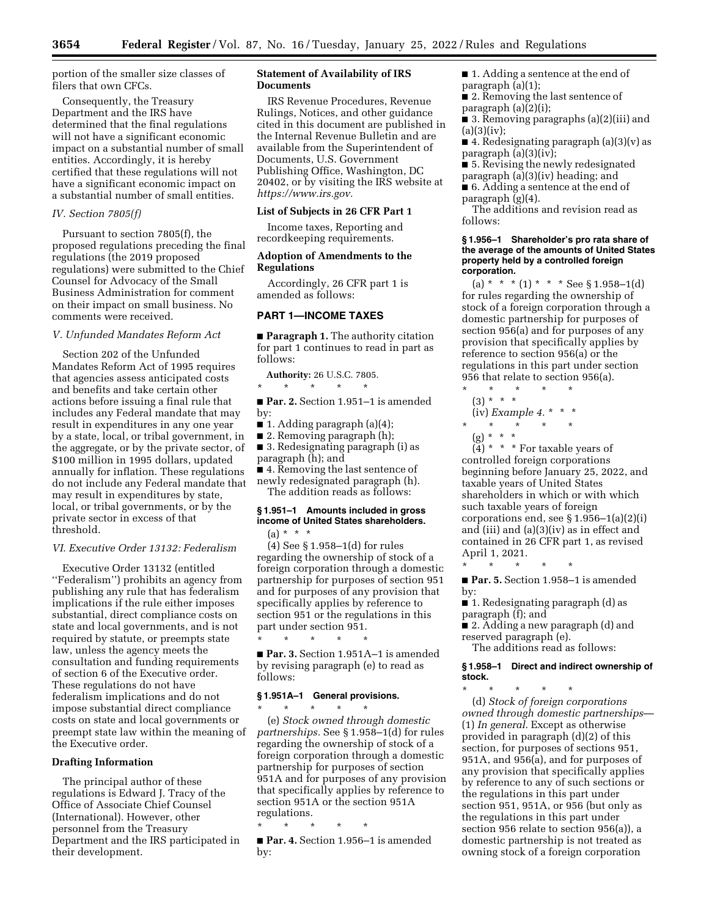portion of the smaller size classes of filers that own CFCs.

Consequently, the Treasury Department and the IRS have determined that the final regulations will not have a significant economic impact on a substantial number of small entities. Accordingly, it is hereby certified that these regulations will not have a significant economic impact on a substantial number of small entities.

#### *IV. Section 7805(f)*

Pursuant to section 7805(f), the proposed regulations preceding the final regulations (the 2019 proposed regulations) were submitted to the Chief Counsel for Advocacy of the Small Business Administration for comment on their impact on small business. No comments were received.

#### *V. Unfunded Mandates Reform Act*

Section 202 of the Unfunded Mandates Reform Act of 1995 requires that agencies assess anticipated costs and benefits and take certain other actions before issuing a final rule that includes any Federal mandate that may result in expenditures in any one year by a state, local, or tribal government, in the aggregate, or by the private sector, of \$100 million in 1995 dollars, updated annually for inflation. These regulations do not include any Federal mandate that may result in expenditures by state, local, or tribal governments, or by the private sector in excess of that threshold.

#### *VI. Executive Order 13132: Federalism*

Executive Order 13132 (entitled ''Federalism'') prohibits an agency from publishing any rule that has federalism implications if the rule either imposes substantial, direct compliance costs on state and local governments, and is not required by statute, or preempts state law, unless the agency meets the consultation and funding requirements of section 6 of the Executive order. These regulations do not have federalism implications and do not impose substantial direct compliance costs on state and local governments or preempt state law within the meaning of the Executive order.

#### **Drafting Information**

The principal author of these regulations is Edward J. Tracy of the Office of Associate Chief Counsel (International). However, other personnel from the Treasury Department and the IRS participated in their development.

## **Statement of Availability of IRS Documents**

IRS Revenue Procedures, Revenue Rulings, Notices, and other guidance cited in this document are published in the Internal Revenue Bulletin and are available from the Superintendent of Documents, U.S. Government Publishing Office, Washington, DC 20402, or by visiting the IRS website at *[https://www.irs.gov.](https://www.irs.gov)* 

#### **List of Subjects in 26 CFR Part 1**

Income taxes, Reporting and recordkeeping requirements.

#### **Adoption of Amendments to the Regulations**

Accordingly, 26 CFR part 1 is amended as follows:

## **PART 1—INCOME TAXES**

■ **Paragraph 1.** The authority citation for part 1 continues to read in part as follows:

**Authority:** 26 U.S.C. 7805. \* \* \* \* \*

■ **Par. 2.** Section 1.951–1 is amended by:

- 1. Adding paragraph (a)(4);
- 2. Removing paragraph (h);

■ 3. Redesignating paragraph (i) as paragraph (h); and

■ 4. Removing the last sentence of newly redesignated paragraph (h).

The addition reads as follows:

## **§ 1.951–1 Amounts included in gross income of United States shareholders.**   $(a) * * * *$

(4) See § 1.958–1(d) for rules regarding the ownership of stock of a foreign corporation through a domestic partnership for purposes of section 951 and for purposes of any provision that specifically applies by reference to section 951 or the regulations in this part under section 951.

\* \* \* \* \* ■ **Par. 3.** Section 1.951A–1 is amended by revising paragraph (e) to read as follows:

#### **§ 1.951A–1 General provisions.**

\* \* \* \* \* (e) *Stock owned through domestic partnerships.* See § 1.958–1(d) for rules regarding the ownership of stock of a foreign corporation through a domestic partnership for purposes of section 951A and for purposes of any provision that specifically applies by reference to section 951A or the section 951A regulations.

\* \* \* \* \*

■ **Par. 4.** Section 1.956–1 is amended by:

■ 1. Adding a sentence at the end of paragraph (a)(1);

■ 2. Removing the last sentence of paragraph (a)(2)(i);

■ 3. Removing paragraphs (a)(2)(iii) and  $(a)(3)(iv);$ 

■ 4. Redesignating paragraph  $(a)(3)(v)$  as paragraph (a)(3)(iv);

■ 5. Revising the newly redesignated paragraph (a)(3)(iv) heading; and ■ 6. Adding a sentence at the end of

paragraph (g)(4). The additions and revision read as

follows:

#### **§ 1.956–1 Shareholder's pro rata share of the average of the amounts of United States property held by a controlled foreign corporation.**

(a) \* \* \* (1) \* \* \* See § 1.958–1(d) for rules regarding the ownership of stock of a foreign corporation through a domestic partnership for purposes of section 956(a) and for purposes of any provision that specifically applies by reference to section 956(a) or the regulations in this part under section 956 that relate to section 956(a).

\* \* \* \* \* (3) \* \* \* (iv) *Example 4.* \* \* \* \* \* \* \* \*

(g) \* \* \*

 $(4)$  \* \* \* For taxable years of controlled foreign corporations beginning before January 25, 2022, and taxable years of United States shareholders in which or with which such taxable years of foreign corporations end, see § 1.956–1(a)(2)(i) and (iii) and  $(a)(3)(iv)$  as in effect and contained in 26 CFR part 1, as revised April 1, 2021.

■ Par. 5. Section 1.958-1 is amended by:

■ 1. Redesignating paragraph (d) as paragraph (f); and

\* \* \* \* \*

■ 2. Adding a new paragraph (d) and reserved paragraph (e).

The additions read as follows:

**§ 1.958–1 Direct and indirect ownership of stock.** 

\* \* \* \* \* (d) *Stock of foreign corporations owned through domestic partnerships*— (1) *In general.* Except as otherwise provided in paragraph (d)(2) of this section, for purposes of sections 951, 951A, and 956(a), and for purposes of any provision that specifically applies by reference to any of such sections or the regulations in this part under section 951, 951A, or 956 (but only as the regulations in this part under section 956 relate to section 956(a)), a domestic partnership is not treated as owning stock of a foreign corporation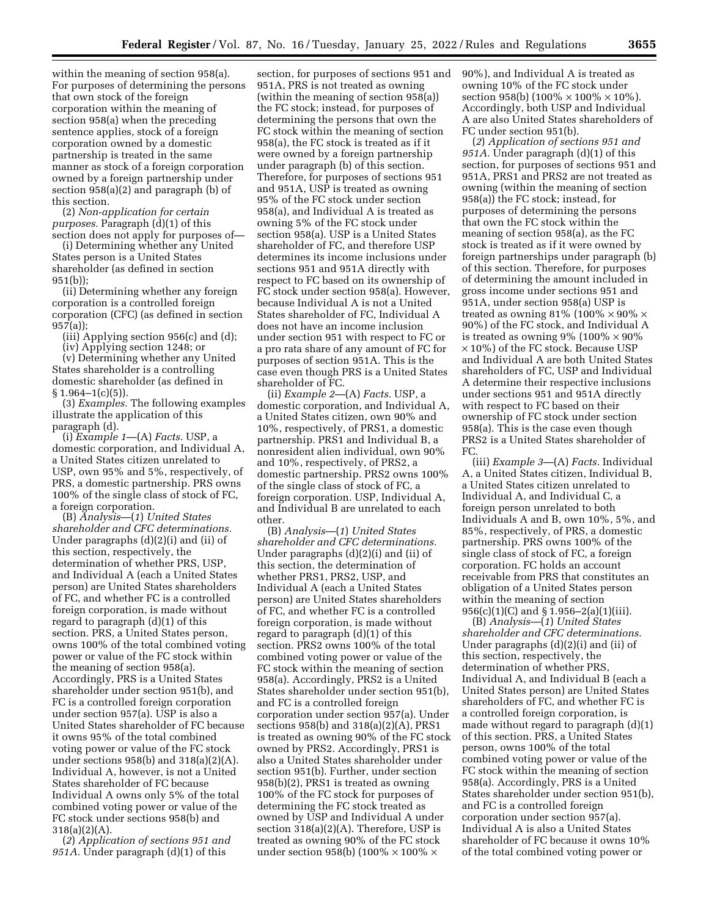within the meaning of section 958(a). For purposes of determining the persons that own stock of the foreign corporation within the meaning of section 958(a) when the preceding sentence applies, stock of a foreign corporation owned by a domestic partnership is treated in the same manner as stock of a foreign corporation owned by a foreign partnership under section 958(a)(2) and paragraph (b) of this section.

(2) *Non-application for certain purposes.* Paragraph (d)(1) of this section does not apply for purposes of—

(i) Determining whether any United States person is a United States shareholder (as defined in section 951(b));

(ii) Determining whether any foreign corporation is a controlled foreign corporation (CFC) (as defined in section 957(a));

(iii) Applying section 956(c) and (d);

(iv) Applying section 1248; or

(v) Determining whether any United States shareholder is a controlling domestic shareholder (as defined in  $§ 1.964-1(c)(5)$ 

(3) *Examples.* The following examples illustrate the application of this paragraph (d).

(i) *Example 1*—(A) *Facts.* USP, a domestic corporation, and Individual A, a United States citizen unrelated to USP, own 95% and 5%, respectively, of PRS, a domestic partnership. PRS owns 100% of the single class of stock of FC, a foreign corporation.

(B) *Analysis*—(*1*) *United States shareholder and CFC determinations.*  Under paragraphs (d)(2)(i) and (ii) of this section, respectively, the determination of whether PRS, USP, and Individual A (each a United States person) are United States shareholders of FC, and whether FC is a controlled foreign corporation, is made without regard to paragraph (d)(1) of this section. PRS, a United States person, owns 100% of the total combined voting power or value of the FC stock within the meaning of section 958(a). Accordingly, PRS is a United States shareholder under section 951(b), and FC is a controlled foreign corporation under section 957(a). USP is also a United States shareholder of FC because it owns 95% of the total combined voting power or value of the FC stock under sections 958(b) and 318(a)(2)(A). Individual A, however, is not a United States shareholder of FC because Individual A owns only 5% of the total combined voting power or value of the FC stock under sections 958(b) and 318(a)(2)(A).

(*2*) *Application of sections 951 and 951A.* Under paragraph (d)(1) of this

section, for purposes of sections 951 and 951A, PRS is not treated as owning (within the meaning of section 958(a)) the FC stock; instead, for purposes of determining the persons that own the FC stock within the meaning of section 958(a), the FC stock is treated as if it were owned by a foreign partnership under paragraph (b) of this section. Therefore, for purposes of sections 951 and 951A, USP is treated as owning 95% of the FC stock under section 958(a), and Individual A is treated as owning 5% of the FC stock under section 958(a). USP is a United States shareholder of FC, and therefore USP determines its income inclusions under sections 951 and 951A directly with respect to FC based on its ownership of FC stock under section 958(a). However, because Individual A is not a United States shareholder of FC, Individual A does not have an income inclusion under section 951 with respect to FC or a pro rata share of any amount of FC for purposes of section 951A. This is the case even though PRS is a United States shareholder of FC.

(ii) *Example 2*—(A) *Facts.* USP, a domestic corporation, and Individual A, a United States citizen, own 90% and 10%, respectively, of PRS1, a domestic partnership. PRS1 and Individual B, a nonresident alien individual, own 90% and 10%, respectively, of PRS2, a domestic partnership. PRS2 owns 100% of the single class of stock of FC, a foreign corporation. USP, Individual A, and Individual B are unrelated to each other.

(B) *Analysis*—(*1*) *United States shareholder and CFC determinations.*  Under paragraphs (d)(2)(i) and (ii) of this section, the determination of whether PRS1, PRS2, USP, and Individual A (each a United States person) are United States shareholders of FC, and whether FC is a controlled foreign corporation, is made without regard to paragraph (d)(1) of this section. PRS2 owns 100% of the total combined voting power or value of the FC stock within the meaning of section 958(a). Accordingly, PRS2 is a United States shareholder under section 951(b), and FC is a controlled foreign corporation under section 957(a). Under sections 958(b) and 318(a)(2)(A), PRS1 is treated as owning 90% of the FC stock owned by PRS2. Accordingly, PRS1 is also a United States shareholder under section 951(b). Further, under section 958(b)(2), PRS1 is treated as owning 100% of the FC stock for purposes of determining the FC stock treated as owned by USP and Individual A under section 318(a)(2)(A). Therefore, USP is treated as owning 90% of the FC stock under section 958(b) (100%  $\times$  100%  $\times$ 

90%), and Individual A is treated as owning 10% of the FC stock under section 958(b)  $(100\% \times 100\% \times 10\%)$ . Accordingly, both USP and Individual A are also United States shareholders of FC under section 951(b).

(*2*) *Application of sections 951 and 951A.* Under paragraph (d)(1) of this section, for purposes of sections 951 and 951A, PRS1 and PRS2 are not treated as owning (within the meaning of section 958(a)) the FC stock; instead, for purposes of determining the persons that own the FC stock within the meaning of section 958(a), as the FC stock is treated as if it were owned by foreign partnerships under paragraph (b) of this section. Therefore, for purposes of determining the amount included in gross income under sections 951 and 951A, under section 958(a) USP is treated as owning 81% (100%  $\times$  90%  $\times$ 90%) of the FC stock, and Individual A is treated as owning  $9\%$  (100%  $\times$  90% × 10%) of the FC stock. Because USP and Individual A are both United States shareholders of FC, USP and Individual A determine their respective inclusions under sections 951 and 951A directly with respect to FC based on their ownership of FC stock under section 958(a). This is the case even though PRS2 is a United States shareholder of FC.

(iii) *Example 3*—(A) *Facts.* Individual A, a United States citizen, Individual B, a United States citizen unrelated to Individual A, and Individual C, a foreign person unrelated to both Individuals A and B, own 10%, 5%, and 85%, respectively, of PRS, a domestic partnership. PRS owns 100% of the single class of stock of FC, a foreign corporation. FC holds an account receivable from PRS that constitutes an obligation of a United States person within the meaning of section 956(c)(1)(C) and § 1.956–2(a)(1)(iii).

(B) *Analysis*—(*1*) *United States shareholder and CFC determinations.*  Under paragraphs (d)(2)(i) and (ii) of this section, respectively, the determination of whether PRS, Individual A, and Individual B (each a United States person) are United States shareholders of FC, and whether FC is a controlled foreign corporation, is made without regard to paragraph (d)(1) of this section. PRS, a United States person, owns 100% of the total combined voting power or value of the FC stock within the meaning of section 958(a). Accordingly, PRS is a United States shareholder under section 951(b), and FC is a controlled foreign corporation under section 957(a). Individual A is also a United States shareholder of FC because it owns 10% of the total combined voting power or